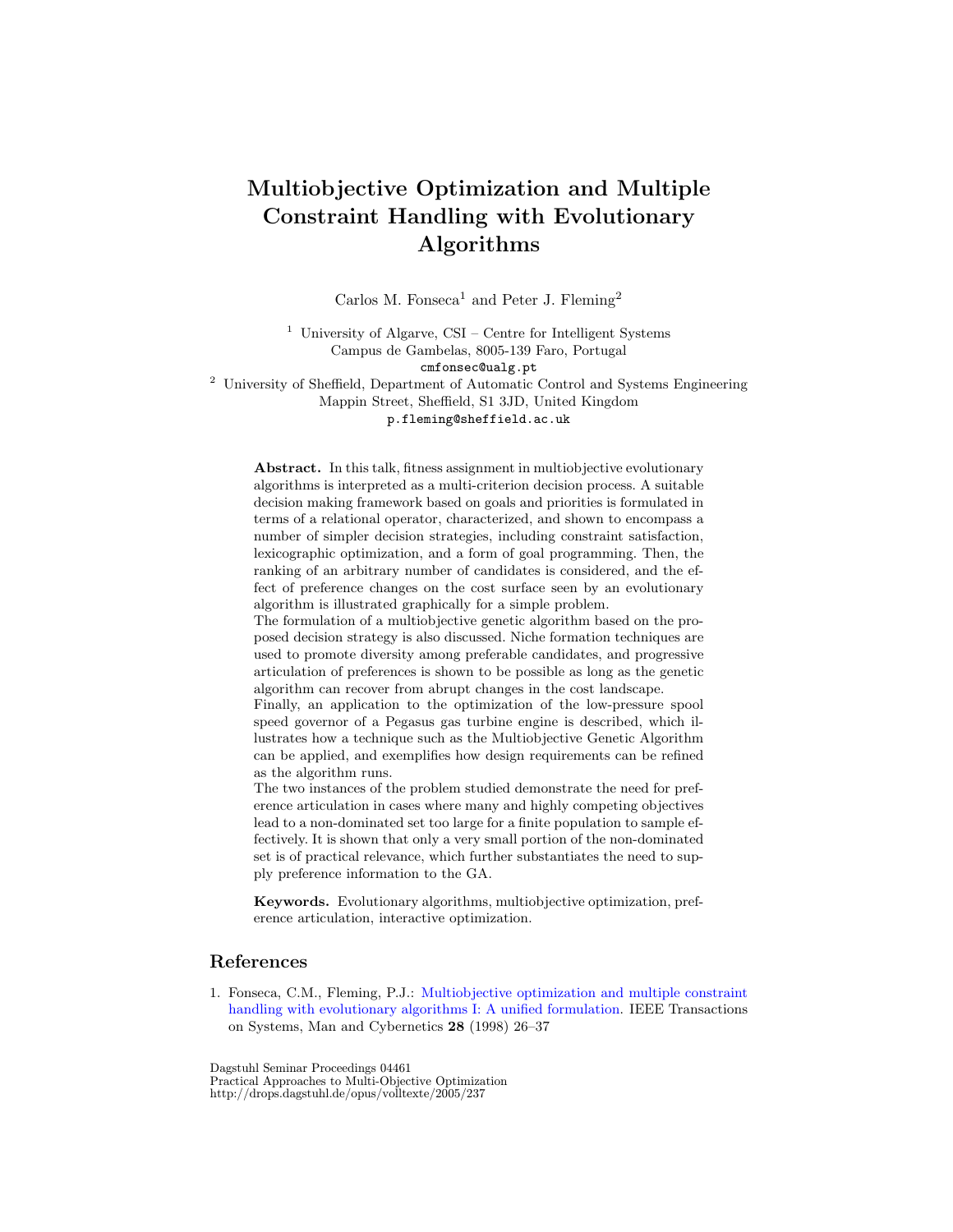## Multiobjective Optimization and Multiple Constraint Handling with Evolutionary Algorithms

Carlos M. Fonseca<sup>1</sup> and Peter J. Fleming<sup>2</sup>

 $1$ University of Algarve, CSI – Centre for Intelligent Systems Campus de Gambelas, 8005-139 Faro, Portugal

cmfonsec@ualg.pt

<sup>2</sup> University of Sheffield, Department of Automatic Control and Systems Engineering Mappin Street, Sheffield, S1 3JD, United Kingdom

p.fleming@sheffield.ac.uk

Abstract. In this talk, fitness assignment in multiobjective evolutionary algorithms is interpreted as a multi-criterion decision process. A suitable decision making framework based on goals and priorities is formulated in terms of a relational operator, characterized, and shown to encompass a number of simpler decision strategies, including constraint satisfaction, lexicographic optimization, and a form of goal programming. Then, the ranking of an arbitrary number of candidates is considered, and the effect of preference changes on the cost surface seen by an evolutionary algorithm is illustrated graphically for a simple problem.

The formulation of a multiobjective genetic algorithm based on the proposed decision strategy is also discussed. Niche formation techniques are used to promote diversity among preferable candidates, and progressive articulation of preferences is shown to be possible as long as the genetic algorithm can recover from abrupt changes in the cost landscape.

Finally, an application to the optimization of the low-pressure spool speed governor of a Pegasus gas turbine engine is described, which illustrates how a technique such as the Multiobjective Genetic Algorithm can be applied, and exemplifies how design requirements can be refined as the algorithm runs.

The two instances of the problem studied demonstrate the need for preference articulation in cases where many and highly competing objectives lead to a non-dominated set too large for a finite population to sample effectively. It is shown that only a very small portion of the non-dominated set is of practical relevance, which further substantiates the need to supply preference information to the GA.

Keywords. Evolutionary algorithms, multiobjective optimization, preference articulation, interactive optimization.

## References

1. Fonseca, C.M., Fleming, P.J.: [Multiobjective optimization and multiple constraint](http://ieeexplore.ieee.org/xpls/abs_all.jsp?isNumber=14177&arNumber=650319) [handling with evolutionary algorithms I: A unified formulation.](http://ieeexplore.ieee.org/xpls/abs_all.jsp?isNumber=14177&arNumber=650319) IEEE Transactions on Systems, Man and Cybernetics 28 (1998) 26–37

Dagstuhl Seminar Proceedings 04461 Practical Approaches to Multi-Objective Optimization http://drops.dagstuhl.de/opus/volltexte/2005/237